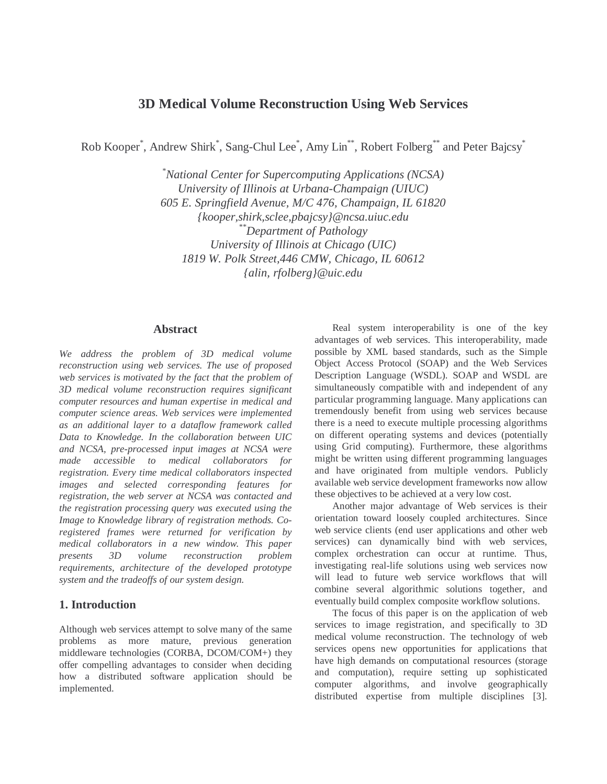# **3D Medical Volume Reconstruction Using Web Services**

Rob Kooper<sup>\*</sup>, Andrew Shirk<sup>\*</sup>, Sang-Chul Lee<sup>\*</sup>, Amy Lin<sup>\*\*</sup>, Robert Folberg<sup>\*\*</sup> and Peter Bajcsy<sup>\*</sup>

*\*National Center for Supercomputing Applications (NCSA) University of Illinois at Urbana-Champaign (UIUC) 605 E. Springfield Avenue, M/C 476, Champaign, IL 61820 {kooper,shirk,sclee,pbajcsy}@ncsa.uiuc.edu \*\*Department of Pathology University of Illinois at Chicago (UIC) 1819 W. Polk Street,446 CMW, Chicago, IL 60612 {alin, rfolberg}@uic.edu* 

#### **Abstract**

*We address the problem of 3D medical volume reconstruction using web services. The use of proposed web services is motivated by the fact that the problem of 3D medical volume reconstruction requires significant computer resources and human expertise in medical and computer science areas. Web services were implemented as an additional layer to a dataflow framework called Data to Knowledge. In the collaboration between UIC and NCSA, pre-processed input images at NCSA were made accessible to medical collaborators for registration. Every time medical collaborators inspected images and selected corresponding features for registration, the web server at NCSA was contacted and the registration processing query was executed using the Image to Knowledge library of registration methods. Coregistered frames were returned for verification by medical collaborators in a new window. This paper presents 3D volume reconstruction problem requirements, architecture of the developed prototype system and the tradeoffs of our system design.* 

## **1. Introduction**

Although web services attempt to solve many of the same problems as more mature, previous generation middleware technologies (CORBA, DCOM/COM+) they offer compelling advantages to consider when deciding how a distributed software application should be implemented.

Real system interoperability is one of the key advantages of web services. This interoperability, made possible by XML based standards, such as the Simple Object Access Protocol (SOAP) and the Web Services Description Language (WSDL). SOAP and WSDL are simultaneously compatible with and independent of any particular programming language. Many applications can tremendously benefit from using web services because there is a need to execute multiple processing algorithms on different operating systems and devices (potentially using Grid computing). Furthermore, these algorithms might be written using different programming languages and have originated from multiple vendors. Publicly available web service development frameworks now allow these objectives to be achieved at a very low cost.

Another major advantage of Web services is their orientation toward loosely coupled architectures. Since web service clients (end user applications and other web services) can dynamically bind with web services, complex orchestration can occur at runtime. Thus, investigating real-life solutions using web services now will lead to future web service workflows that will combine several algorithmic solutions together, and eventually build complex composite workflow solutions.

The focus of this paper is on the application of web services to image registration, and specifically to 3D medical volume reconstruction. The technology of web services opens new opportunities for applications that have high demands on computational resources (storage and computation), require setting up sophisticated computer algorithms, and involve geographically distributed expertise from multiple disciplines [3].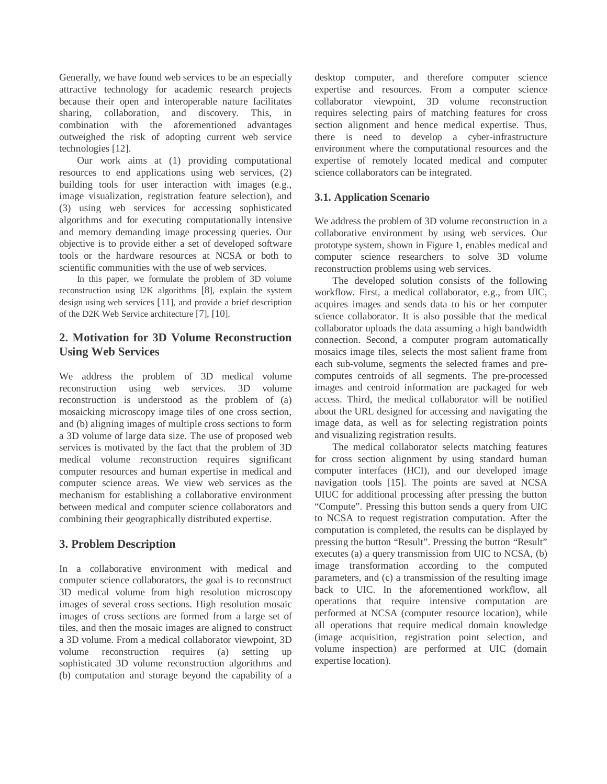Generally, we have found web services to be an especially attractive technology for academic research projects because their open and interoperable nature facilitates sharing, collaboration, and discovery. This, in combination with the aforementioned advantages outweighed the risk of adopting current web service technologies [12].

Our work aims at (1) providing computational resources to end applications using web services, (2) building tools for user interaction with images (e.g., image visualization, registration feature selection), and (3) using web services for accessing sophisticated algorithms and for executing computationally intensive and memory demanding image processing queries. Our objective is to provide either a set of developed software tools or the hardware resources at NCSA or both to scientific communities with the use of web services.

In this paper, we formulate the problem of 3D volume reconstruction using I2K algorithms [8], explain the system design using web services [11], and provide a brief description of the D2K Web Service architecture [7], [10].

# **2. Motivation for 3D Volume Reconstruction Using Web Services**

We address the problem of 3D medical volume reconstruction using web services. 3D volume reconstruction is understood as the problem of (a) mosaicking microscopy image tiles of one cross section, and (b) aligning images of multiple cross sections to form a 3D volume of large data size. The use of proposed web services is motivated by the fact that the problem of 3D medical volume reconstruction requires significant computer resources and human expertise in medical and computer science areas. We view web services as the mechanism for establishing a collaborative environment between medical and computer science collaborators and combining their geographically distributed expertise.

## **3. Problem Description**

In a collaborative environment with medical and computer science collaborators, the goal is to reconstruct 3D medical volume from high resolution microscopy images of several cross sections. High resolution mosaic images of cross sections are formed from a large set of tiles, and then the mosaic images are aligned to construct a 3D volume. From a medical collaborator viewpoint, 3D volume reconstruction requires (a) setting up sophisticated 3D volume reconstruction algorithms and (b) computation and storage beyond the capability of a desktop computer, and therefore computer science expertise and resources. From a computer science collaborator viewpoint, 3D volume reconstruction requires selecting pairs of matching features for cross section alignment and hence medical expertise. Thus, there is need to develop a cyber-infrastructure environment where the computational resources and the expertise of remotely located medical and computer science collaborators can be integrated.

## **3.1. Application Scenario**

We address the problem of 3D volume reconstruction in a collaborative environment by using web services. Our prototype system, shown in Figure 1, enables medical and computer science researchers to solve 3D volume reconstruction problems using web services.

The developed solution consists of the following workflow. First, a medical collaborator, e.g., from UIC, acquires images and sends data to his or her computer science collaborator. It is also possible that the medical collaborator uploads the data assuming a high bandwidth connection. Second, a computer program automatically mosaics image tiles, selects the most salient frame from each sub-volume, segments the selected frames and precomputes centroids of all segments. The pre-processed images and centroid information are packaged for web access. Third, the medical collaborator will be notified about the URL designed for accessing and navigating the image data, as well as for selecting registration points and visualizing registration results.

The medical collaborator selects matching features for cross section alignment by using standard human computer interfaces (HCI), and our developed image navigation tools [15]. The points are saved at NCSA UIUC for additional processing after pressing the button "Compute". Pressing this button sends a query from UIC to NCSA to request registration computation. After the computation is completed, the results can be displayed by pressing the button "Result". Pressing the button "Result" executes (a) a query transmission from UIC to NCSA, (b) image transformation according to the computed parameters, and (c) a transmission of the resulting image back to UIC. In the aforementioned workflow, all operations that require intensive computation are performed at NCSA (computer resource location), while all operations that require medical domain knowledge (image acquisition, registration point selection, and volume inspection) are performed at UIC (domain expertise location).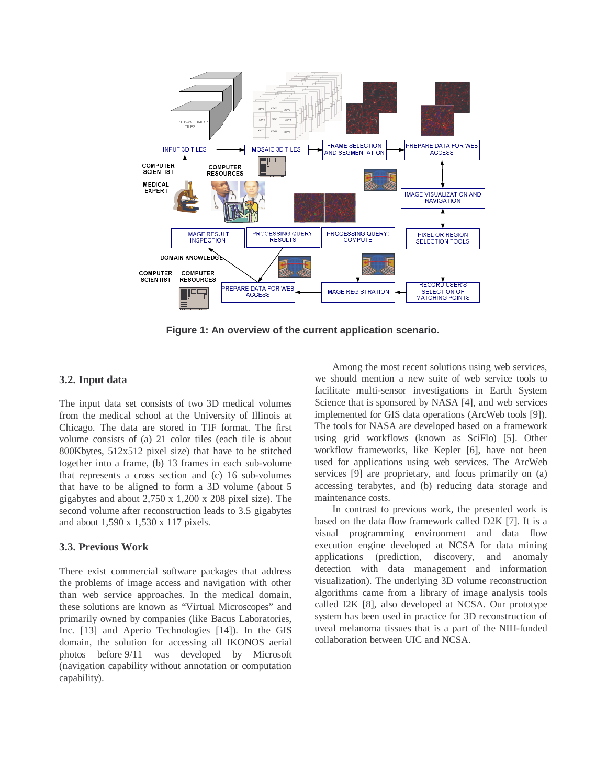

**Figure 1: An overview of the current application scenario.** 

#### **3.2. Input data**

The input data set consists of two 3D medical volumes from the medical school at the University of Illinois at Chicago. The data are stored in TIF format. The first volume consists of (a) 21 color tiles (each tile is about 800Kbytes, 512x512 pixel size) that have to be stitched together into a frame, (b) 13 frames in each sub-volume that represents a cross section and (c) 16 sub-volumes that have to be aligned to form a 3D volume (about 5 gigabytes and about 2,750 x 1,200 x 208 pixel size). The second volume after reconstruction leads to 3.5 gigabytes and about 1,590 x 1,530 x 117 pixels.

#### **3.3. Previous Work**

There exist commercial software packages that address the problems of image access and navigation with other than web service approaches. In the medical domain, these solutions are known as "Virtual Microscopes" and primarily owned by companies (like Bacus Laboratories, Inc. [13] and Aperio Technologies [14]). In the GIS domain, the solution for accessing all IKONOS aerial photos before 9/11 was developed by Microsoft (navigation capability without annotation or computation capability).

Among the most recent solutions using web services, we should mention a new suite of web service tools to facilitate multi-sensor investigations in Earth System Science that is sponsored by NASA [4], and web services implemented for GIS data operations (ArcWeb tools [9]). The tools for NASA are developed based on a framework using grid workflows (known as SciFlo) [5]. Other workflow frameworks, like Kepler [6], have not been used for applications using web services. The ArcWeb services [9] are proprietary, and focus primarily on (a) accessing terabytes, and (b) reducing data storage and maintenance costs.

In contrast to previous work, the presented work is based on the data flow framework called D2K [7]. It is a visual programming environment and data flow execution engine developed at NCSA for data mining applications (prediction, discovery, and anomaly detection with data management and information visualization). The underlying 3D volume reconstruction algorithms came from a library of image analysis tools called I2K [8], also developed at NCSA. Our prototype system has been used in practice for 3D reconstruction of uveal melanoma tissues that is a part of the NIH-funded collaboration between UIC and NCSA.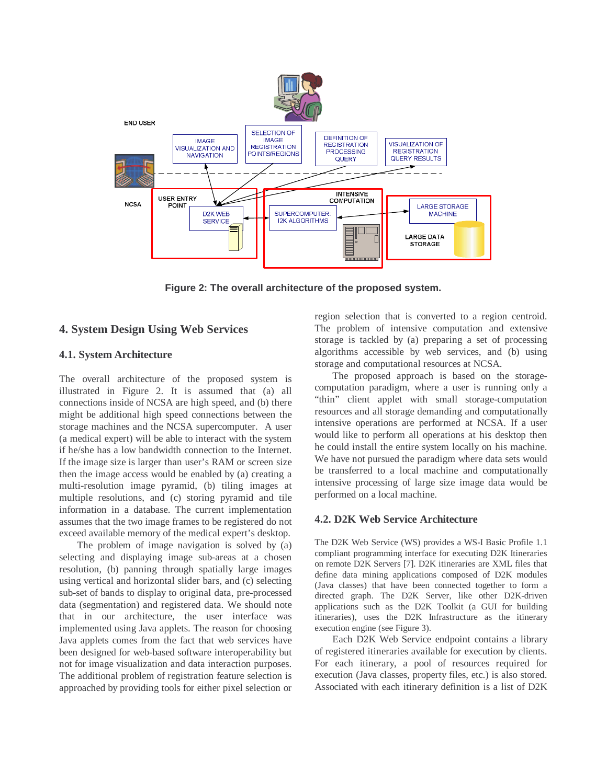

**Figure 2: The overall architecture of the proposed system.** 

### **4. System Design Using Web Services**

### **4.1. System Architecture**

The overall architecture of the proposed system is illustrated in Figure 2. It is assumed that (a) all connections inside of NCSA are high speed, and (b) there might be additional high speed connections between the storage machines and the NCSA supercomputer. A user (a medical expert) will be able to interact with the system if he/she has a low bandwidth connection to the Internet. If the image size is larger than user's RAM or screen size then the image access would be enabled by (a) creating a multi-resolution image pyramid, (b) tiling images at multiple resolutions, and (c) storing pyramid and tile information in a database. The current implementation assumes that the two image frames to be registered do not exceed available memory of the medical expert's desktop.

The problem of image navigation is solved by (a) selecting and displaying image sub-areas at a chosen resolution, (b) panning through spatially large images using vertical and horizontal slider bars, and (c) selecting sub-set of bands to display to original data, pre-processed data (segmentation) and registered data. We should note that in our architecture, the user interface was implemented using Java applets. The reason for choosing Java applets comes from the fact that web services have been designed for web-based software interoperability but not for image visualization and data interaction purposes. The additional problem of registration feature selection is approached by providing tools for either pixel selection or

region selection that is converted to a region centroid. The problem of intensive computation and extensive storage is tackled by (a) preparing a set of processing algorithms accessible by web services, and (b) using storage and computational resources at NCSA.

The proposed approach is based on the storagecomputation paradigm, where a user is running only a "thin" client applet with small storage-computation resources and all storage demanding and computationally intensive operations are performed at NCSA. If a user would like to perform all operations at his desktop then he could install the entire system locally on his machine. We have not pursued the paradigm where data sets would be transferred to a local machine and computationally intensive processing of large size image data would be performed on a local machine.

#### **4.2. D2K Web Service Architecture**

The D2K Web Service (WS) provides a WS-I Basic Profile 1.1 compliant programming interface for executing D2K Itineraries on remote D2K Servers [7]. D2K itineraries are XML files that define data mining applications composed of D2K modules (Java classes) that have been connected together to form a directed graph. The D2K Server, like other D2K-driven applications such as the D2K Toolkit (a GUI for building itineraries), uses the D2K Infrastructure as the itinerary execution engine (see Figure 3).

Each D2K Web Service endpoint contains a library of registered itineraries available for execution by clients. For each itinerary, a pool of resources required for execution (Java classes, property files, etc.) is also stored. Associated with each itinerary definition is a list of D2K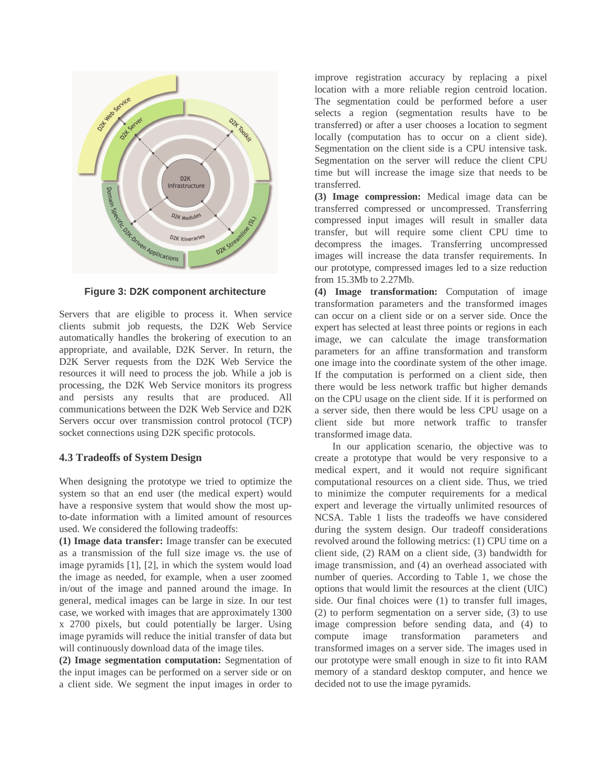

**Figure 3: D2K component architecture** 

Servers that are eligible to process it. When service clients submit job requests, the D2K Web Service automatically handles the brokering of execution to an appropriate, and available, D2K Server. In return, the D2K Server requests from the D2K Web Service the resources it will need to process the job. While a job is processing, the D2K Web Service monitors its progress and persists any results that are produced. All communications between the D2K Web Service and D2K Servers occur over transmission control protocol (TCP) socket connections using D2K specific protocols.

### **4.3 Tradeoffs of System Design**

When designing the prototype we tried to optimize the system so that an end user (the medical expert) would have a responsive system that would show the most upto-date information with a limited amount of resources used. We considered the following tradeoffs:

**(1) Image data transfer:** Image transfer can be executed as a transmission of the full size image vs. the use of image pyramids [1], [2], in which the system would load the image as needed, for example, when a user zoomed in/out of the image and panned around the image. In general, medical images can be large in size. In our test case, we worked with images that are approximately 1300 x 2700 pixels, but could potentially be larger. Using image pyramids will reduce the initial transfer of data but will continuously download data of the image tiles.

**(2) Image segmentation computation:** Segmentation of the input images can be performed on a server side or on a client side. We segment the input images in order to improve registration accuracy by replacing a pixel location with a more reliable region centroid location. The segmentation could be performed before a user selects a region (segmentation results have to be transferred) or after a user chooses a location to segment locally (computation has to occur on a client side). Segmentation on the client side is a CPU intensive task. Segmentation on the server will reduce the client CPU time but will increase the image size that needs to be transferred.

**(3) Image compression:** Medical image data can be transferred compressed or uncompressed. Transferring compressed input images will result in smaller data transfer, but will require some client CPU time to decompress the images. Transferring uncompressed images will increase the data transfer requirements. In our prototype, compressed images led to a size reduction from 15.3Mb to 2.27Mb.

**(4) Image transformation:** Computation of image transformation parameters and the transformed images can occur on a client side or on a server side. Once the expert has selected at least three points or regions in each image, we can calculate the image transformation parameters for an affine transformation and transform one image into the coordinate system of the other image. If the computation is performed on a client side, then there would be less network traffic but higher demands on the CPU usage on the client side. If it is performed on a server side, then there would be less CPU usage on a client side but more network traffic to transfer transformed image data.

In our application scenario, the objective was to create a prototype that would be very responsive to a medical expert, and it would not require significant computational resources on a client side. Thus, we tried to minimize the computer requirements for a medical expert and leverage the virtually unlimited resources of NCSA. Table 1 lists the tradeoffs we have considered during the system design. Our tradeoff considerations revolved around the following metrics: (1) CPU time on a client side, (2) RAM on a client side, (3) bandwidth for image transmission, and (4) an overhead associated with number of queries. According to Table 1, we chose the options that would limit the resources at the client (UIC) side. Our final choices were (1) to transfer full images, (2) to perform segmentation on a server side, (3) to use image compression before sending data, and (4) to compute image transformation parameters and transformed images on a server side. The images used in our prototype were small enough in size to fit into RAM memory of a standard desktop computer, and hence we decided not to use the image pyramids.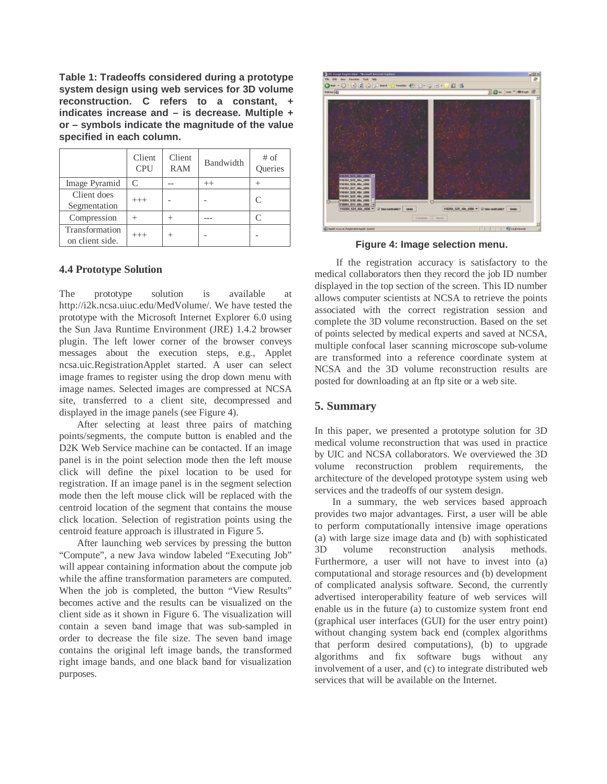**Table 1: Tradeoffs considered during a prototype system design using web services for 3D volume reconstruction. C refers to a constant, + indicates increase and – is decrease. Multiple + or – symbols indicate the magnitude of the value specified in each column.** 

|                                   | Client<br><b>CPU</b> | Client<br><b>RAM</b> | Bandwidth | $#$ of<br><b>Oueries</b> |
|-----------------------------------|----------------------|----------------------|-----------|--------------------------|
| Image Pyramid                     | C                    |                      | $^{++}$   |                          |
| Client does<br>Segmentation       | $^{+++}$             |                      |           |                          |
| Compression                       |                      |                      |           |                          |
| Transformation<br>on client side. | $^{+++}$             |                      |           |                          |

#### **4.4 Prototype Solution**

The prototype solution is available at http://i2k.ncsa.uiuc.edu/MedVolume/. We have tested the prototype with the Microsoft Internet Explorer 6.0 using the Sun Java Runtime Environment (JRE) 1.4.2 browser plugin. The left lower corner of the browser conveys messages about the execution steps, e.g., Applet ncsa.uic.RegistrationApplet started. A user can select image frames to register using the drop down menu with image names. Selected images are compressed at NCSA site, transferred to a client site, decompressed and displayed in the image panels (see Figure 4).

After selecting at least three pairs of matching points/segments, the compute button is enabled and the D2K Web Service machine can be contacted. If an image panel is in the point selection mode then the left mouse click will define the pixel location to be used for registration. If an image panel is in the segment selection mode then the left mouse click will be replaced with the centroid location of the segment that contains the mouse click location. Selection of registration points using the centroid feature approach is illustrated in Figure 5.

After launching web services by pressing the button "Compute", a new Java window labeled "Executing Job" will appear containing information about the compute job while the affine transformation parameters are computed. When the job is completed, the button "View Results" becomes active and the results can be visualized on the client side as it shown in Figure 6. The visualization will contain a seven band image that was sub-sampled in order to decrease the file size. The seven band image contains the original left image bands, the transformed right image bands, and one black band for visualization purposes.



**Figure 4: Image selection menu.** 

If the registration accuracy is satisfactory to the medical collaborators then they record the job ID number displayed in the top section of the screen. This ID number allows computer scientists at NCSA to retrieve the points associated with the correct registration session and complete the 3D volume reconstruction. Based on the set of points selected by medical experts and saved at NCSA, multiple confocal laser scanning microscope sub-volume are transformed into a reference coordinate system at NCSA and the 3D volume reconstruction results are posted for downloading at an ftp site or a web site.

### **5. Summary**

In this paper, we presented a prototype solution for 3D medical volume reconstruction that was used in practice by UIC and NCSA collaborators. We overviewed the 3D volume reconstruction problem requirements, the architecture of the developed prototype system using web services and the tradeoffs of our system design.

In a summary, the web services based approach provides two major advantages. First, a user will be able to perform computationally intensive image operations (a) with large size image data and (b) with sophisticated 3D volume reconstruction analysis methods. Furthermore, a user will not have to invest into (a) computational and storage resources and (b) development of complicated analysis software. Second, the currently advertised interoperability feature of web services will enable us in the future (a) to customize system front end (graphical user interfaces (GUI) for the user entry point) without changing system back end (complex algorithms that perform desired computations), (b) to upgrade algorithms and fix software bugs without any involvement of a user, and (c) to integrate distributed web services that will be available on the Internet.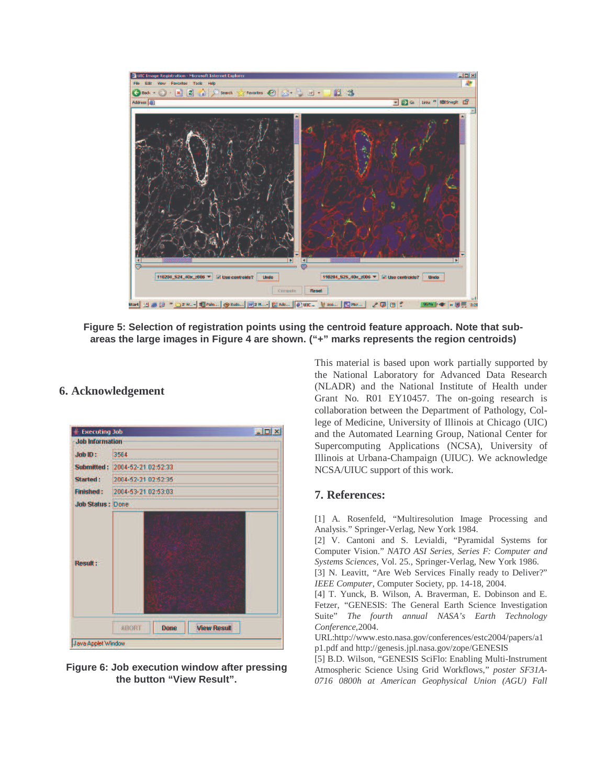

**Figure 5: Selection of registration points using the centroid feature approach. Note that subareas the large images in Figure 4 are shown. ("+" marks represents the region centroids)** 

| <b>Executing Job</b>    |                     |  |  | $ \Box$ $\times$ |  |  |
|-------------------------|---------------------|--|--|------------------|--|--|
| <b>Job Information</b>  |                     |  |  |                  |  |  |
| Job ID:                 | 3564                |  |  |                  |  |  |
| <b>Submitted:</b>       | 2004-52-21 02:52:33 |  |  |                  |  |  |
| <b>Started:</b>         | 2004-52-21 02:52:35 |  |  |                  |  |  |
| <b>Finished:</b>        | 2004-53-21 02:53:03 |  |  |                  |  |  |
| <b>Job Status: Done</b> |                     |  |  |                  |  |  |
| <b>Result:</b>          |                     |  |  |                  |  |  |
|                         |                     |  |  |                  |  |  |

## **6. Acknowledgement**

**Figure 6: Job execution window after pressing the button "View Result".** 

This material is based upon work partially supported by the National Laboratory for Advanced Data Research (NLADR) and the National Institute of Health under Grant No. R01 EY10457. The on-going research is collaboration between the Department of Pathology, College of Medicine, University of Illinois at Chicago (UIC) and the Automated Learning Group, National Center for Supercomputing Applications (NCSA), University of Illinois at Urbana-Champaign (UIUC). We acknowledge NCSA/UIUC support of this work.

## **7. References:**

[1] A. Rosenfeld, "Multiresolution Image Processing and Analysis." Springer-Verlag, New York 1984.

[2] V. Cantoni and S. Levialdi, "Pyramidal Systems for Computer Vision." *NATO ASI Series, Series F: Computer and Systems Sciences,* Vol. 25., Springer-Verlag, New York 1986.

[3] N. Leavitt, "Are Web Services Finally ready to Deliver?" *IEEE Computer*, Computer Society, pp. 14-18, 2004.

[4] T. Yunck, B. Wilson, A. Braverman, E. Dobinson and E. Fetzer, "GENESIS: The General Earth Science Investigation Suite" *The fourth annual NASA's Earth Technology Conference,*2004.

URL:http://www.esto.nasa.gov/conferences/estc2004/papers/a1 p1.pdf and http://genesis.jpl.nasa.gov/zope/GENESIS

[5] B.D. Wilson, "GENESIS SciFlo: Enabling Multi-Instrument Atmospheric Science Using Grid Workflows," *poster SF31A-0716 0800h at American Geophysical Union (AGU) Fall*